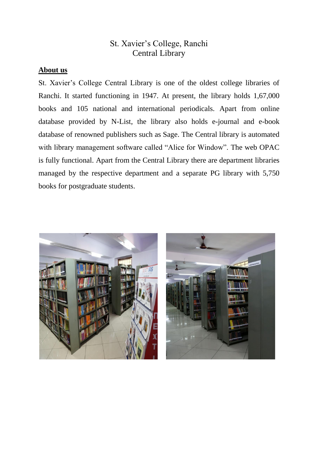### St. Xavier's College, Ranchi Central Library

#### **About us**

St. Xavier's College Central Library is one of the oldest college libraries of Ranchi. It started functioning in 1947. At present, the library holds 1,67,000 books and 105 national and international periodicals. Apart from online database provided by N-List, the library also holds e-journal and e-book database of renowned publishers such as Sage. The Central library is automated with library management software called "Alice for Window". The web OPAC is fully functional. Apart from the Central Library there are department libraries managed by the respective department and a separate PG library with 5,750 books for postgraduate students.



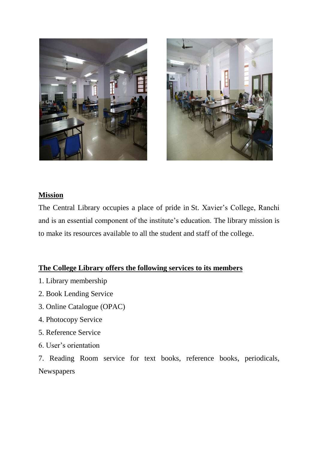



#### **Mission**

The Central Library occupies a place of pride in [St.](http://www.iitb.ac.in/) Xavier's College, Ranchi and is an essential component of the institute's education. The library mission is to make its resources available to all the student and staff of the college.

#### **The College Library offers the following services to its members**

- 1. Library membership
- 2. Book Lending Service
- 3. Online Catalogue (OPAC)
- 4. Photocopy Service
- 5. Reference Service
- 6. User's orientation

7. Reading Room service for text books, reference books, periodicals, Newspapers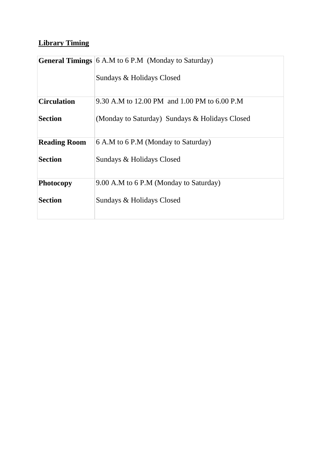# **Library Timing**

|                     | <b>General Timings</b> 6 A.M to 6 P.M (Monday to Saturday) |  |
|---------------------|------------------------------------------------------------|--|
|                     | Sundays & Holidays Closed                                  |  |
| <b>Circulation</b>  | 9.30 A.M to 12.00 PM and 1.00 PM to 6.00 P.M               |  |
| <b>Section</b>      | (Monday to Saturday) Sundays & Holidays Closed             |  |
| <b>Reading Room</b> | 6 A.M to 6 P.M (Monday to Saturday)                        |  |
| <b>Section</b>      | Sundays & Holidays Closed                                  |  |
| <b>Photocopy</b>    | 9.00 A.M to 6 P.M (Monday to Saturday)                     |  |
| <b>Section</b>      | Sundays & Holidays Closed                                  |  |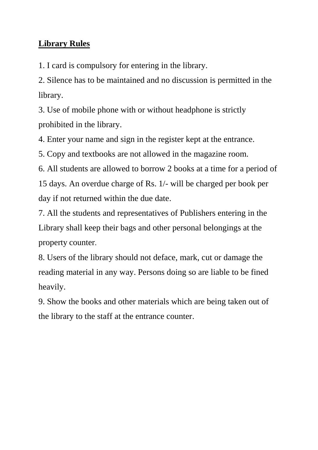# **Library Rules**

1. I card is compulsory for entering in the library.

2. Silence has to be maintained and no discussion is permitted in the library.

3. Use of mobile phone with or without headphone is strictly prohibited in the library.

4. Enter your name and sign in the register kept at the entrance.

5. Copy and textbooks are not allowed in the magazine room.

6. All students are allowed to borrow 2 books at a time for a period of 15 days. An overdue charge of Rs. 1/- will be charged per book per day if not returned within the due date.

7. All the students and representatives of Publishers entering in the Library shall keep their bags and other personal belongings at the property counter.

8. Users of the library should not deface, mark, cut or damage the reading material in any way. Persons doing so are liable to be fined heavily.

9. Show the books and other materials which are being taken out of the library to the staff at the entrance counter.